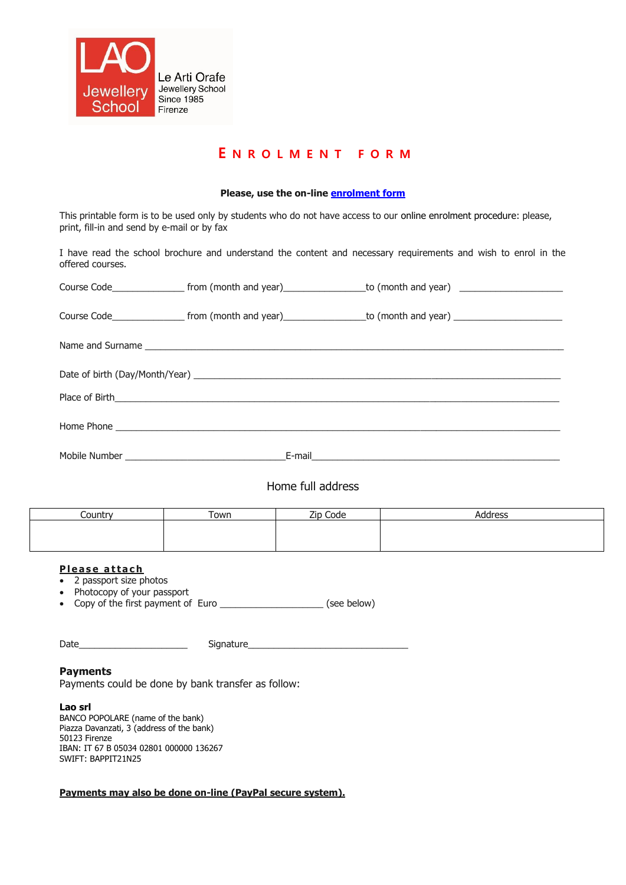

# **E N R O L M E N T F O R M**

## **Please, use the on-line [enrolment form](http://www.artiorafe.it/component/option,com_facileforms/Itemid,75/lang,en/)**

This printable form is to be used only by students who do not have access to our online enrolment procedure: please, print, fill-in and send by e-mail or by fax

I have read the school brochure and understand the content and necessary requirements and wish to enrol in the offered courses.

| Course Code____________________ from (month and year)___________________to (month and year) __________________    |  |  |  |  |  |  |  |
|-------------------------------------------------------------------------------------------------------------------|--|--|--|--|--|--|--|
| Course Code_______________________ from (month and year)__________________to (month and year)____________________ |  |  |  |  |  |  |  |
|                                                                                                                   |  |  |  |  |  |  |  |
|                                                                                                                   |  |  |  |  |  |  |  |
|                                                                                                                   |  |  |  |  |  |  |  |
|                                                                                                                   |  |  |  |  |  |  |  |
|                                                                                                                   |  |  |  |  |  |  |  |

Home full address

| Country | Town | Zip Code | `ddress |
|---------|------|----------|---------|
|         |      |          |         |
|         |      |          |         |
|         |      |          |         |

# **Please attach**

- 2 passport size photos
- Photocopy of your passport

• Copy of the first payment of Euro \_\_\_\_\_\_\_\_\_\_\_\_\_\_\_\_\_\_\_\_\_\_\_\_\_\_(see below)

| $\overline{\phantom{a}}$ |     |
|--------------------------|-----|
| Dale                     | $-$ |

### **Payments**

Payments could be done by bank transfer as follow:

#### **Lao srl**

BANCO POPOLARE (name of the bank) Piazza Davanzati, 3 (address of the bank) 50123 Firenze IBAN: IT 67 B 05034 02801 000000 136267 SWIFT: BAPPIT21N25

### **Payments may also be done on-line (PayPal secure system).**